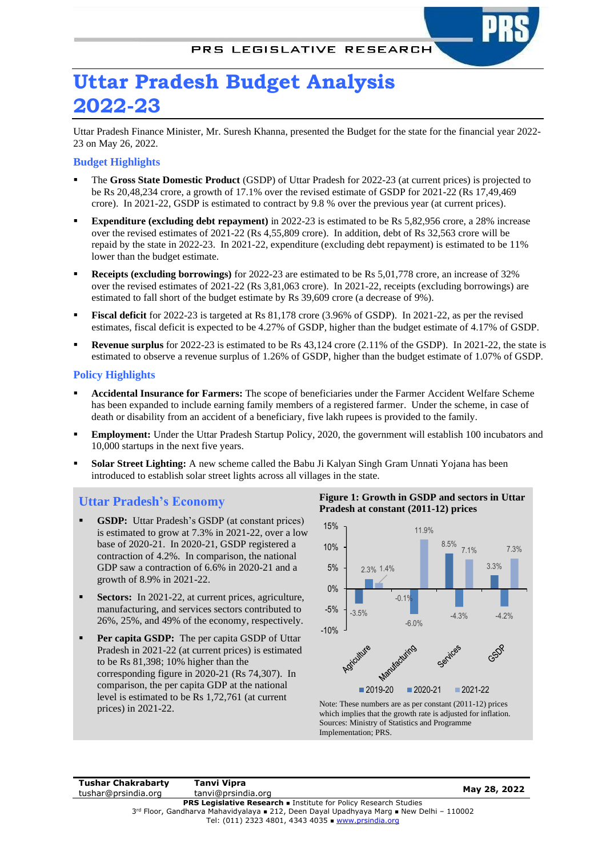# **Uttar Pradesh Budget Analysis 2022-23**

Uttar Pradesh Finance Minister, Mr. Suresh Khanna, presented the Budget for the state for the financial year 2022- 23 on May 26, 2022.

### **Budget Highlights**

- The Gross State Domestic Product (GSDP) of Uttar Pradesh for 2022-23 (at current prices) is projected to be Rs 20,48,234 crore, a growth of 17.1% over the revised estimate of GSDP for 2021-22 (Rs 17,49,469 crore). In 2021-22, GSDP is estimated to contract by 9.8 % over the previous year (at current prices).
- **Expenditure** (excluding debt repayment) in 2022-23 is estimated to be Rs 5,82,956 crore, a 28% increase over the revised estimates of 2021-22 (Rs 4,55,809 crore). In addition, debt of Rs 32,563 crore will be repaid by the state in 2022-23. In 2021-22, expenditure (excluding debt repayment) is estimated to be 11% lower than the budget estimate.
- **Receipts (excluding borrowings)** for 2022-23 are estimated to be Rs 5,01,778 crore, an increase of 32% over the revised estimates of 2021-22 (Rs 3,81,063 crore). In 2021-22, receipts (excluding borrowings) are estimated to fall short of the budget estimate by Rs 39,609 crore (a decrease of 9%).
- **Fiscal deficit** for 2022-23 is targeted at Rs 81,178 crore (3.96% of GSDP). In 2021-22, as per the revised estimates, fiscal deficit is expected to be 4.27% of GSDP, higher than the budget estimate of 4.17% of GSDP.
- **Revenue surplus** for 2022-23 is estimated to be Rs 43,124 crore (2.11% of the GSDP). In 2021-22, the state is estimated to observe a revenue surplus of 1.26% of GSDP, higher than the budget estimate of 1.07% of GSDP.

#### **Policy Highlights**

- **Accidental Insurance for Farmers:** The scope of beneficiaries under the Farmer Accident Welfare Scheme has been expanded to include earning family members of a registered farmer. Under the scheme, in case of death or disability from an accident of a beneficiary, five lakh rupees is provided to the family.
- **Employment:** Under the Uttar Pradesh Startup Policy, 2020, the government will establish 100 incubators and 10,000 startups in the next five years.
- **Solar Street Lighting:** A new scheme called the Babu Ji Kalyan Singh Gram Unnati Yojana has been introduced to establish solar street lights across all villages in the state.

### **Uttar Pradesh's Economy**

- **GSDP:** Uttar Pradesh's GSDP (at constant prices) is estimated to grow at 7.3% in 2021-22, over a low base of 2020-21. In 2020-21, GSDP registered a contraction of 4.2%. In comparison, the national GDP saw a contraction of 6.6% in 2020-21 and a growth of 8.9% in 2021-22.
- **Sectors:** In 2021-22, at current prices, agriculture, manufacturing, and services sectors contributed to 26%, 25%, and 49% of the economy, respectively.
- **Per capita GSDP:** The per capita GSDP of Uttar Pradesh in 2021-22 (at current prices) is estimated to be Rs 81,398; 10% higher than the corresponding figure in 2020-21 (Rs 74,307). In comparison, the per capita GDP at the national level is estimated to be Rs 1,72,761 (at current prices) in 2021-22.

#### **Figure 1: Growth in GSDP and sectors in Uttar Pradesh at constant (2011-12) prices**



Note: These numbers are as per constant (2011-12) prices which implies that the growth rate is adjusted for inflation. Sources: Ministry of Statistics and Programme Implementation; PRS.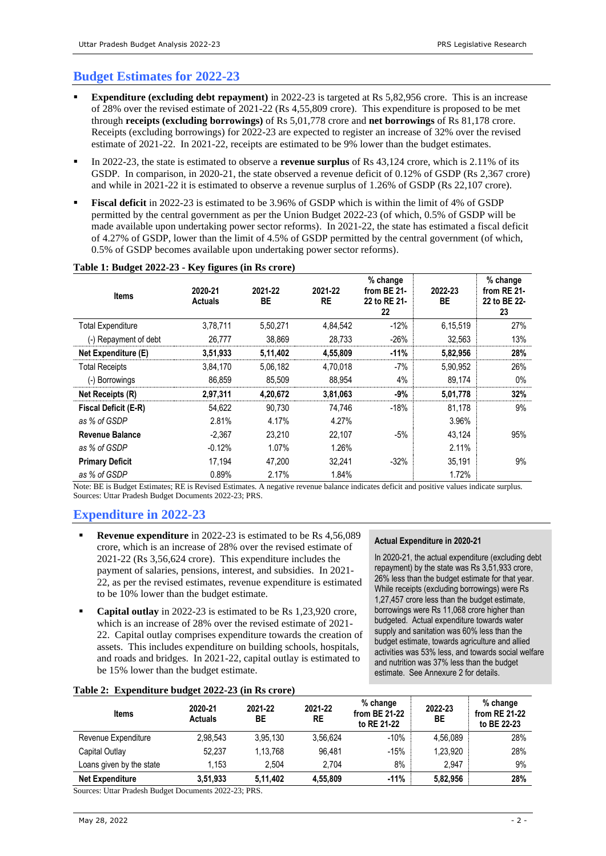# **Budget Estimates for 2022-23**

- **Expenditure** (excluding debt repayment) in 2022-23 is targeted at Rs 5,82,956 crore. This is an increase of 28% over the revised estimate of 2021-22 (Rs 4,55,809 crore). This expenditure is proposed to be met through **receipts (excluding borrowings)** of Rs 5,01,778 crore and **net borrowings** of Rs 81,178 crore. Receipts (excluding borrowings) for 2022-23 are expected to register an increase of 32% over the revised estimate of 2021-22. In 2021-22, receipts are estimated to be 9% lower than the budget estimates.
- In 2022-23, the state is estimated to observe a **revenue surplus** of Rs 43,124 crore, which is 2.11% of its GSDP. In comparison, in 2020-21, the state observed a revenue deficit of 0.12% of GSDP (Rs 2,367 crore) and while in 2021-22 it is estimated to observe a revenue surplus of 1.26% of GSDP (Rs 22,107 crore).
- **Fiscal deficit** in 2022-23 is estimated to be 3.96% of GSDP which is within the limit of 4% of GSDP permitted by the central government as per the Union Budget 2022-23 (of which, 0.5% of GSDP will be made available upon undertaking power sector reforms). In 2021-22, the state has estimated a fiscal deficit of 4.27% of GSDP, lower than the limit of 4.5% of GSDP permitted by the central government (of which, 0.5% of GSDP becomes available upon undertaking power sector reforms).

| <b>Items</b>                | 2020-21<br><b>Actuals</b> | 2021-22<br>BE | 2021-22<br><b>RE</b> | % change<br>from BE 21-<br>22 to RE 21-<br>22 | 2022-23<br>ВE | % change<br>from RE 21-<br>22 to BE 22-<br>23 |
|-----------------------------|---------------------------|---------------|----------------------|-----------------------------------------------|---------------|-----------------------------------------------|
| <b>Total Expenditure</b>    | 3,78,711                  | 5,50,271      | 4,84,542             | $-12%$                                        | 6,15,519      | 27%                                           |
| (-) Repayment of debt       | 26,777                    | 38,869        | 28,733               | $-26%$                                        | 32,563        | 13%                                           |
| Net Expenditure (E)         | 3,51,933                  | 5,11,402      | 4,55,809             | $-11%$                                        | 5,82,956      | 28%                                           |
| <b>Total Receipts</b>       | 3,84,170                  | 5,06,182      | 4,70,018             | $-7%$                                         | 5,90,952      | 26%                                           |
| (-) Borrowings              | 86,859                    | 85,509        | 88.954               | 4%                                            | 89,174        | $0\%$                                         |
| Net Receipts (R)            | 2,97,311                  | 4,20,672      | 3,81,063             | -9%                                           | 5,01,778      | 32%                                           |
| <b>Fiscal Deficit (E-R)</b> | 54,622                    | 90.730        | 74.746               | $-18%$                                        | 81,178        | 9%                                            |
| as % of GSDP                | 2.81%                     | 4.17%         | 4.27%                |                                               | 3.96%         |                                               |
| <b>Revenue Balance</b>      | $-2.367$                  | 23.210        | 22.107               | $-5%$                                         | 43,124        | 95%                                           |
| as % of GSDP                | $-0.12%$                  | 1.07%         | 1.26%                |                                               | 2.11%         |                                               |
| <b>Primary Deficit</b>      | 17.194                    | 47,200        | 32,241               | $-32%$                                        | 35,191        | 9%                                            |
| as % of GSDP                | 0.89%                     | 2.17%         | 1.84%                |                                               | 1.72%         |                                               |

#### **Table 1: Budget 2022-23 - Key figures (in Rs crore)**

Note: BE is Budget Estimates; RE is Revised Estimates. A negative revenue balance indicates deficit and positive values indicate surplus. Sources: Uttar Pradesh Budget Documents 2022-23; PRS.

# **Expenditure in 2022-23**

- **Revenue expenditure** in 2022-23 is estimated to be Rs 4,56,089 crore, which is an increase of 28% over the revised estimate of 2021-22 (Rs 3,56,624 crore). This expenditure includes the payment of salaries, pensions, interest, and subsidies. In 2021- 22, as per the revised estimates, revenue expenditure is estimated to be 10% lower than the budget estimate.
- **Capital outlay** in 2022-23 is estimated to be Rs 1,23,920 crore, which is an increase of 28% over the revised estimate of 2021- 22. Capital outlay comprises expenditure towards the creation of assets. This includes expenditure on building schools, hospitals, and roads and bridges. In 2021-22, capital outlay is estimated to be 15% lower than the budget estimate.

### **Actual Expenditure in 2020-21**

In 2020-21, the actual expenditure (excluding debt repayment) by the state was Rs 3,51,933 crore, 26% less than the budget estimate for that year. While receipts (excluding borrowings) were Rs 1,27,457 crore less than the budget estimate, borrowings were Rs 11,068 crore higher than budgeted. Actual expenditure towards water supply and sanitation was 60% less than the budget estimate, towards agriculture and allied activities was 53% less, and towards social welfare and nutrition was 37% less than the budget estimate. See Annexure 2 for details.

#### **Table 2: Expenditure budget 2022-23 (in Rs crore)**

| Items                    | 2020-21<br><b>Actuals</b> | 2021-22<br>ВE | 2021-22<br><b>RE</b> | % change<br>from BE 21-22<br>to RE 21-22 | 2022-23<br>BE | % change<br>from RE 21-22<br>to BE 22-23 |
|--------------------------|---------------------------|---------------|----------------------|------------------------------------------|---------------|------------------------------------------|
| Revenue Expenditure      | 2.98.543                  | 3.95.130      | 3.56.624             | $-10%$                                   | 4.56.089      | 28%                                      |
| Capital Outlay           | 52.237                    | 1.13.768      | 96.481               | $-15%$                                   | 1.23.920      | 28%                                      |
| Loans given by the state | 1.153                     | 2.504         | 2.704                | 8%                                       | 2.947         | 9%                                       |
| <b>Net Expenditure</b>   | 3,51,933                  | 5.11.402      | 4.55.809             | $-11%$                                   | 5.82.956      | 28%                                      |

Sources: Uttar Pradesh Budget Documents 2022-23; PRS.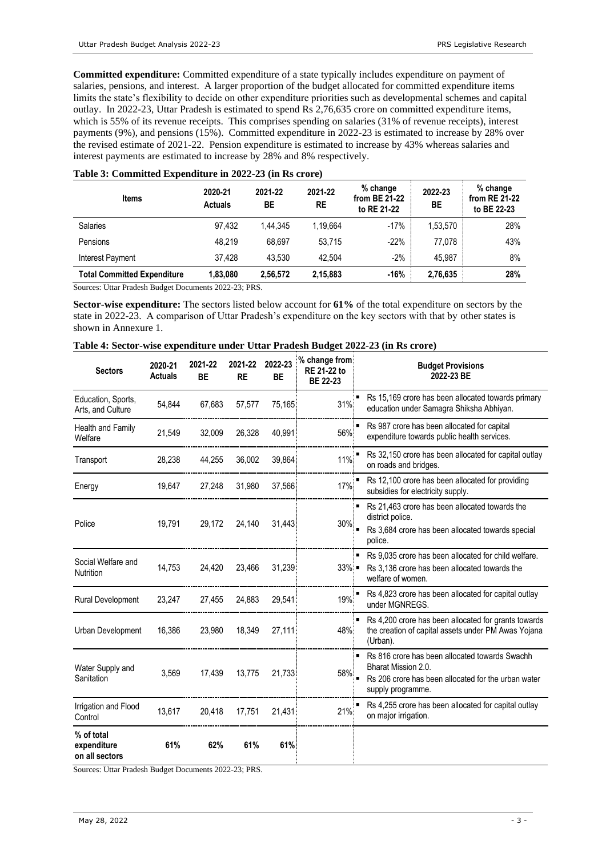**Committed expenditure:** Committed expenditure of a state typically includes expenditure on payment of salaries, pensions, and interest. A larger proportion of the budget allocated for committed expenditure items limits the state's flexibility to decide on other expenditure priorities such as developmental schemes and capital outlay. In 2022-23, Uttar Pradesh is estimated to spend Rs 2,76,635 crore on committed expenditure items, which is 55% of its revenue receipts. This comprises spending on salaries (31% of revenue receipts), interest payments (9%), and pensions (15%). Committed expenditure in 2022-23 is estimated to increase by 28% over the revised estimate of 2021-22. Pension expenditure is estimated to increase by 43% whereas salaries and interest payments are estimated to increase by 28% and 8% respectively.

| <b>Items</b>                       | 2020-21<br><b>Actuals</b> | 2021-22<br>ВE | 2021-22<br>RE | % change<br>from BE 21-22<br>to RE 21-22 | 2022-23<br>BE | % change<br>from RE 21-22<br>to BE 22-23 |
|------------------------------------|---------------------------|---------------|---------------|------------------------------------------|---------------|------------------------------------------|
| <b>Salaries</b>                    | 97.432                    | 1.44.345      | 1.19.664      | $-17%$                                   | 1,53,570      | 28%                                      |
| Pensions                           | 48.219                    | 68.697        | 53.715        | $-22%$                                   | 77.078        | 43%                                      |
| <b>Interest Payment</b>            | 37.428                    | 43.530        | 42.504        | $-2%$                                    | 45.987        | 8%                                       |
| <b>Total Committed Expenditure</b> | 1,83,080                  | 2,56,572      | 2,15,883      | $-16%$                                   | 2,76,635      | 28%                                      |

#### **Table 3: Committed Expenditure in 2022-23 (in Rs crore)**

Sources: Uttar Pradesh Budget Documents 2022-23; PRS.

**Sector-wise expenditure:** The sectors listed below account for **61%** of the total expenditure on sectors by the state in 2022-23. A comparison of Uttar Pradesh's expenditure on the key sectors with that by other states is shown in Annexure 1.

| Table 4: Sector-wise expenditure under Uttar Pradesh Budget 2022-23 (in Rs crore) |  |  |  |  |  |  |
|-----------------------------------------------------------------------------------|--|--|--|--|--|--|
|-----------------------------------------------------------------------------------|--|--|--|--|--|--|

| <b>Sectors</b>                              | 2020-21<br><b>Actuals</b> | 2021-22<br><b>BE</b> | 2021-22<br><b>RE</b> | 2022-23<br><b>BE</b> | % change from<br><b>RE 21-22 to</b><br><b>BE 22-23</b> | <b>Budget Provisions</b><br>2022-23 BE                                                                                                            |
|---------------------------------------------|---------------------------|----------------------|----------------------|----------------------|--------------------------------------------------------|---------------------------------------------------------------------------------------------------------------------------------------------------|
| Education, Sports,<br>Arts, and Culture     | 54,844                    | 67,683               | 57,577               | 75,165               | 31%                                                    | Rs 15,169 crore has been allocated towards primary<br>education under Samagra Shiksha Abhiyan.                                                    |
| <b>Health and Family</b><br>Welfare         | 21,549                    | 32,009               | 26,328               | 40,991               | 56%                                                    | Rs 987 crore has been allocated for capital<br>expenditure towards public health services.                                                        |
| Transport                                   | 28,238                    | 44,255               | 36,002               | 39,864               | 11%                                                    | Rs 32,150 crore has been allocated for capital outlay<br>on roads and bridges.                                                                    |
| Energy                                      | 19,647                    | 27,248               | 31,980               | 37,566               | 17%                                                    | Rs 12,100 crore has been allocated for providing<br>subsidies for electricity supply.                                                             |
| Police                                      | 19,791                    | 29.172               | 24,140               | 31,443               | 30%                                                    | Rs 21,463 crore has been allocated towards the<br>district police.<br>Rs 3,684 crore has been allocated towards special<br>police.                |
| Social Welfare and<br><b>Nutrition</b>      | 14,753                    | 24,420               | 23,466               | 31,239               | $33\%$ $\blacksquare$                                  | Rs 9,035 crore has been allocated for child welfare.<br>Rs 3,136 crore has been allocated towards the<br>welfare of women.                        |
| Rural Development                           | 23,247                    | 27,455               | 24,883               | 29,541               | 19%                                                    | Rs 4,823 crore has been allocated for capital outlay<br>under MGNREGS.                                                                            |
| Urban Development                           | 16,386                    | 23.980               | 18.349               | 27,111               | 48%                                                    | Rs 4,200 crore has been allocated for grants towards<br>the creation of capital assets under PM Awas Yojana<br>(Urban).                           |
| Water Supply and<br>Sanitation              | 3,569                     | 17,439               | 13.775               | 21,733               | 58%                                                    | Rs 816 crore has been allocated towards Swachh<br>Bharat Mission 2.0.<br>Rs 206 crore has been allocated for the urban water<br>supply programme. |
| Irrigation and Flood<br>Control             | 13,617                    | 20,418               | 17,751               | 21,431               | 21%                                                    | Rs 4,255 crore has been allocated for capital outlay<br>on major irrigation.                                                                      |
| % of total<br>expenditure<br>on all sectors | 61%                       | 62%                  | 61%                  | 61%                  |                                                        |                                                                                                                                                   |

Sources: Uttar Pradesh Budget Documents 2022-23; PRS.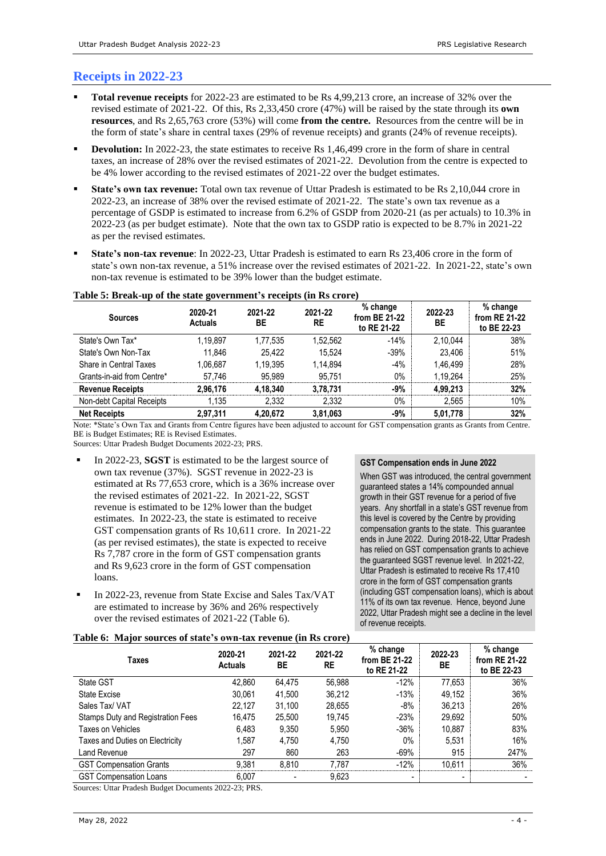# **Receipts in 2022-23**

- **Total revenue receipts** for 2022-23 are estimated to be Rs 4,99,213 crore, an increase of 32% over the revised estimate of 2021-22. Of this, Rs 2,33,450 crore (47%) will be raised by the state through its **own resources**, and Rs 2,65,763 crore (53%) will come **from the centre.** Resources from the centre will be in the form of state's share in central taxes (29% of revenue receipts) and grants (24% of revenue receipts).
- **Devolution:** In 2022-23, the state estimates to receive Rs 1,46,499 crore in the form of share in central taxes, an increase of 28% over the revised estimates of 2021-22. Devolution from the centre is expected to be 4% lower according to the revised estimates of 2021-22 over the budget estimates.
- **State's own tax revenue:** Total own tax revenue of Uttar Pradesh is estimated to be Rs 2,10,044 crore in 2022-23, an increase of 38% over the revised estimate of 2021-22. The state's own tax revenue as a percentage of GSDP is estimated to increase from 6.2% of GSDP from 2020-21 (as per actuals) to 10.3% in 2022-23 (as per budget estimate). Note that the own tax to GSDP ratio is expected to be 8.7% in 2021-22 as per the revised estimates.
- **State's non-tax revenue**: In 2022-23, Uttar Pradesh is estimated to earn Rs 23,406 crore in the form of state's own non-tax revenue, a 51% increase over the revised estimates of 2021-22. In 2021-22, state's own non-tax revenue is estimated to be 39% lower than the budget estimate.

| <b>Sources</b>             | 2020-21<br><b>Actuals</b> | 2021-22<br>ВE | 2021-22<br><b>RE</b> | % change<br>from BE 21-22<br>to RE 21-22 | 2022-23<br><b>BE</b> | % change<br>from RE 21-22<br>to BE 22-23 |
|----------------------------|---------------------------|---------------|----------------------|------------------------------------------|----------------------|------------------------------------------|
| State's Own Tax*           | 1.19.897                  | 1,77,535      | 1,52,562             | $-14%$                                   | 2.10.044             | 38%                                      |
| State's Own Non-Tax        | 11.846                    | 25.422        | 15.524               | $-39%$                                   | 23.406               | 51%                                      |
| Share in Central Taxes     | 1.06.687                  | 1.19.395      | 1.14.894             | $-4%$                                    | 1.46.499             | 28%                                      |
| Grants-in-aid from Centre* | 57.746                    | 95.989        | 95.751               | $0\%$                                    | 1,19,264             | 25%                                      |
| <b>Revenue Receipts</b>    | 2.96.176                  | 4.18.340      | 3.78.731             | $-9%$                                    | 4.99.213             | 32%                                      |
| Non-debt Capital Receipts  | 1,135                     | 2,332         | 2,332                | $0\%$                                    | 2,565                | 10%                                      |
| <b>Net Receipts</b>        | 2,97,311                  | 4,20,672      | 3,81,063             | $-9%$                                    | 5,01,778             | 32%                                      |

### **Table 5: Break-up of the state government's receipts (in Rs crore)**

Note: \*State's Own Tax and Grants from Centre figures have been adjusted to account for GST compensation grants as Grants from Centre. BE is Budget Estimates; RE is Revised Estimates.

Sources: Uttar Pradesh Budget Documents 2022-23; PRS.

- In 2022-23, **SGST** is estimated to be the largest source of own tax revenue (37%). SGST revenue in 2022-23 is estimated at Rs 77,653 crore, which is a 36% increase over the revised estimates of 2021-22. In 2021-22, SGST revenue is estimated to be 12% lower than the budget estimates. In 2022-23, the state is estimated to receive GST compensation grants of Rs 10,611 crore. In 2021-22 (as per revised estimates), the state is expected to receive Rs 7,787 crore in the form of GST compensation grants and Rs 9,623 crore in the form of GST compensation loans.
- In 2022-23, revenue from State Excise and Sales Tax/VAT are estimated to increase by 36% and 26% respectively over the revised estimates of 2021-22 (Table 6).

#### **GST Compensation ends in June 2022**

When GST was introduced, the central government guaranteed states a 14% compounded annual growth in their GST revenue for a period of five years. Any shortfall in a state's GST revenue from this level is covered by the Centre by providing compensation grants to the state. This guarantee ends in June 2022. During 2018-22, Uttar Pradesh has relied on GST compensation grants to achieve the guaranteed SGST revenue level. In 2021-22, Uttar Pradesh is estimated to receive Rs 17,410 crore in the form of GST compensation grants (including GST compensation loans), which is about 11% of its own tax revenue. Hence, beyond June 2022, Uttar Pradesh might see a decline in the level of revenue receipts.

|  |  |  |  |  | Table 6: Major sources of state's own-tax revenue (in Rs crore) |  |  |
|--|--|--|--|--|-----------------------------------------------------------------|--|--|
|--|--|--|--|--|-----------------------------------------------------------------|--|--|

| Taxes                             | 2020-21<br><b>Actuals</b> | 2021-22<br>BE | 2021-22<br><b>RE</b> | $%$ change<br>from BE 21-22<br>to RE 21-22 | 2022-23<br>ВE            | % change<br>from RE 21-22<br>to BE 22-23 |
|-----------------------------------|---------------------------|---------------|----------------------|--------------------------------------------|--------------------------|------------------------------------------|
| State GST                         | 42.860                    | 64.475        | 56.988               | $-12%$                                     | 77.653                   | 36%                                      |
| State Excise                      | 30.061                    | 41.500        | 36.212               | $-13%$                                     | 49.152                   | 36%                                      |
| Sales Tax/ VAT                    | 22.127                    | 31.100        | 28.655               | -8%                                        | 36.213                   | 26%                                      |
| Stamps Duty and Registration Fees | 16.475                    | 25.500        | 19.745               | $-23%$                                     | 29,692                   | 50%                                      |
| Taxes on Vehicles                 | 6.483                     | 9.350         | 5.950                | $-36%$                                     | 10.887                   | 83%                                      |
| Taxes and Duties on Electricity   | 1.587                     | 4.750         | 4.750                | 0%                                         | 5,531                    | 16%                                      |
| Land Revenue                      | 297                       | 860           | 263                  | $-69%$                                     | 915                      | 247%                                     |
| <b>GST Compensation Grants</b>    | 9.381                     | 8.810         | 7.787                | $-12%$                                     | 10.611                   | 36%                                      |
| <b>GST Compensation Loans</b>     | 6.007                     |               | 9,623                | $\overline{\phantom{0}}$                   | $\overline{\phantom{0}}$ |                                          |

Sources: Uttar Pradesh Budget Documents 2022-23; PRS.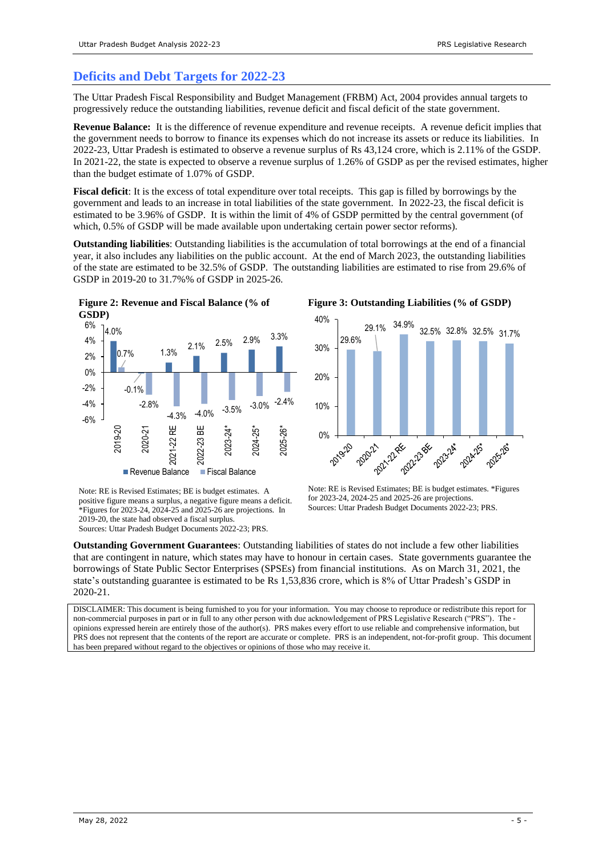## **Deficits and Debt Targets for 2022-23**

The Uttar Pradesh Fiscal Responsibility and Budget Management (FRBM) Act, 2004 provides annual targets to progressively reduce the outstanding liabilities, revenue deficit and fiscal deficit of the state government.

**Revenue Balance:** It is the difference of revenue expenditure and revenue receipts. A revenue deficit implies that the government needs to borrow to finance its expenses which do not increase its assets or reduce its liabilities. In 2022-23, Uttar Pradesh is estimated to observe a revenue surplus of Rs 43,124 crore, which is 2.11% of the GSDP. In 2021-22, the state is expected to observe a revenue surplus of 1.26% of GSDP as per the revised estimates, higher than the budget estimate of 1.07% of GSDP.

**Fiscal deficit**: It is the excess of total expenditure over total receipts. This gap is filled by borrowings by the government and leads to an increase in total liabilities of the state government. In 2022-23, the fiscal deficit is estimated to be 3.96% of GSDP. It is within the limit of 4% of GSDP permitted by the central government (of which,  $0.5\%$  of GSDP will be made available upon undertaking certain power sector reforms).

**Outstanding liabilities**: Outstanding liabilities is the accumulation of total borrowings at the end of a financial year, it also includes any liabilities on the public account. At the end of March 2023, the outstanding liabilities of the state are estimated to be 32.5% of GSDP. The outstanding liabilities are estimated to rise from 29.6% of GSDP in 2019-20 to 31.7%% of GSDP in 2025-26.



Note: RE is Revised Estimates; BE is budget estimates. A positive figure means a surplus, a negative figure means a deficit. \*Figures for 2023-24, 2024-25 and  $2025$ -26 are projections. In 2019-20, the state had observed a fiscal surplus. Sources: Uttar Pradesh Budget Documents 2022-23; PRS.

**Figure 3: Outstanding Liabilities (% of GSDP)**



Note: RE is Revised Estimates; BE is budget estimates. \*Figures for 2023-24, 2024-25 and 2025-26 are projections. Sources: Uttar Pradesh Budget Documents 2022-23; PRS.

**Outstanding Government Guarantees**: Outstanding liabilities of states do not include a few other liabilities that are contingent in nature, which states may have to honour in certain cases. State governments guarantee the borrowings of State Public Sector Enterprises (SPSEs) from financial institutions. As on March 31, 2021, the state's outstanding guarantee is estimated to be Rs 1,53,836 crore, which is 8% of Uttar Pradesh's GSDP in 2020-21.

DISCLAIMER: This document is being furnished to you for your information. You may choose to reproduce or redistribute this report for non-commercial purposes in part or in full to any other person with due acknowledgement of PRS Legislative Research ("PRS"). The opinions expressed herein are entirely those of the author(s). PRS makes every effort to use reliable and comprehensive information, but PRS does not represent that the contents of the report are accurate or complete. PRS is an independent, not-for-profit group. This document has been prepared without regard to the objectives or opinions of those who may receive it.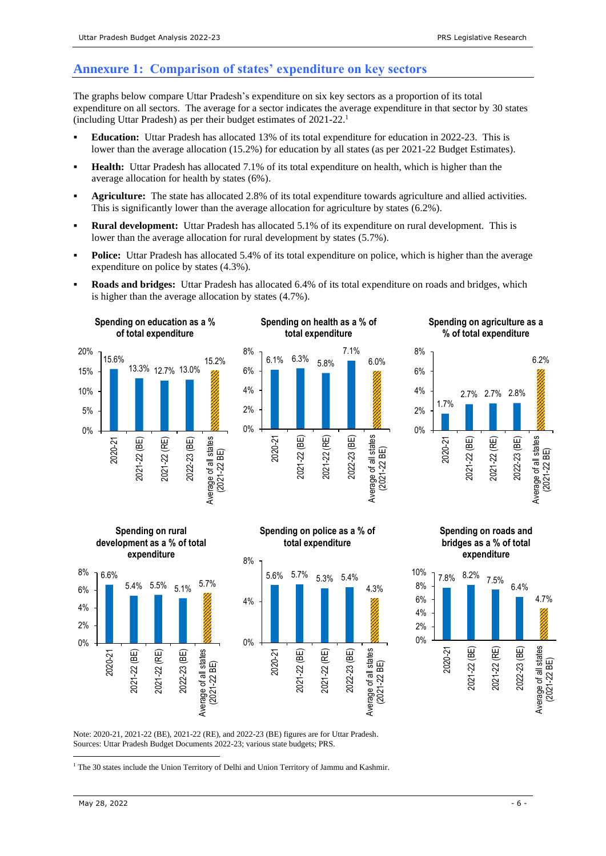### **Annexure 1: Comparison of states' expenditure on key sectors**

The graphs below compare Uttar Pradesh's expenditure on six key sectors as a proportion of its total expenditure on all sectors. The average for a sector indicates the average expenditure in that sector by 30 states (including Uttar Pradesh) as per their budget estimates of 2021-22. 1

- **Education:** Uttar Pradesh has allocated 13% of its total expenditure for education in 2022-23. This is lower than the average allocation (15.2%) for education by all states (as per 2021-22 Budget Estimates).
- **Health:** Uttar Pradesh has allocated 7.1% of its total expenditure on health, which is higher than the average allocation for health by states (6%).
- Agriculture: The state has allocated 2.8% of its total expenditure towards agriculture and allied activities. This is significantly lower than the average allocation for agriculture by states (6.2%).
- **Rural development:** Uttar Pradesh has allocated 5.1% of its expenditure on rural development. This is lower than the average allocation for rural development by states (5.7%).
- **Police:** Uttar Pradesh has allocated 5.4% of its total expenditure on police, which is higher than the average expenditure on police by states (4.3%).
- **Roads and bridges:** Uttar Pradesh has allocated 6.4% of its total expenditure on roads and bridges, which is higher than the average allocation by states (4.7%).







**Spending on agriculture as a** 









Note: 2020-21, 2021-22 (BE), 2021-22 (RE), and 2022-23 (BE) figures are for Uttar Pradesh. Sources: Uttar Pradesh Budget Documents 2022-23; various state budgets; PRS.

<sup>1</sup> The 30 states include the Union Territory of Delhi and Union Territory of Jammu and Kashmir.